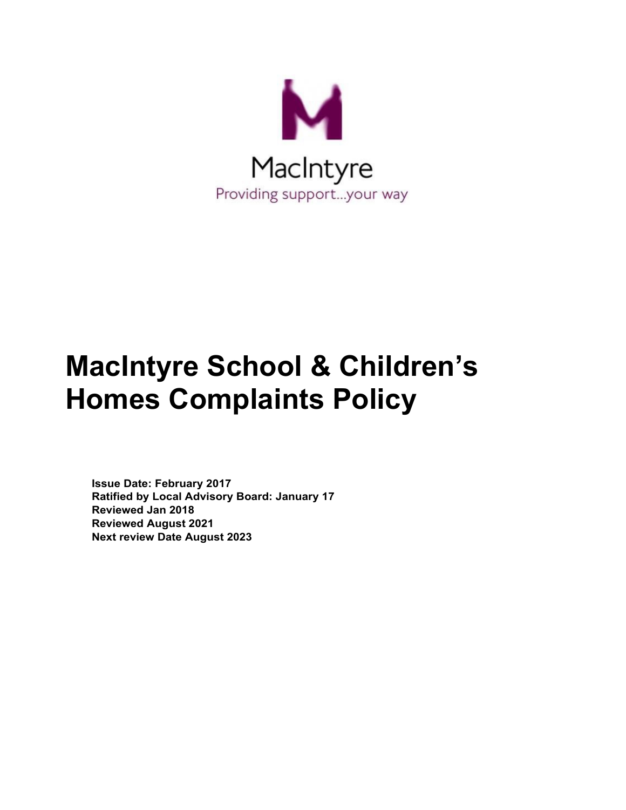

# **MacIntyre School & Children's Homes Complaints Policy**

**Issue Date: February 2017 Ratified by Local Advisory Board: January 17 Reviewed Jan 2018 Reviewed August 2021 Next review Date August 2023**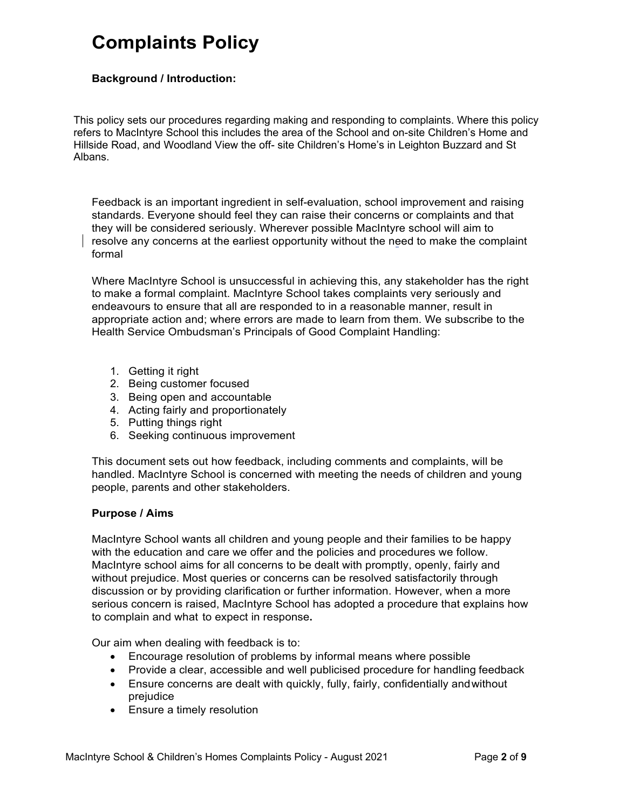# **Complaints Policy**

#### **Background / Introduction:**

This policy sets our procedures regarding making and responding to complaints. Where this policy refers to MacIntyre School this includes the area of the School and on-site Children's Home and Hillside Road, and Woodland View the off- site Children's Home's in Leighton Buzzard and St Albans.

Feedback is an important ingredient in self-evaluation, school improvement and raising standards. Everyone should feel they can raise their concerns or complaints and that they will be considered seriously. Wherever possible MacIntyre school will aim to resolve any concerns at the earliest opportunity without the need to make the complaint formal

Where MacIntyre School is unsuccessful in achieving this, any stakeholder has the right to make a formal complaint. MacIntyre School takes complaints very seriously and endeavours to ensure that all are responded to in a reasonable manner, result in appropriate action and; where errors are made to learn from them. We subscribe to the Health Service Ombudsman's Principals of Good Complaint Handling:

- 1. Getting it right
- 2. Being customer focused
- 3. Being open and accountable
- 4. Acting fairly and proportionately
- 5. Putting things right
- 6. Seeking continuous improvement

This document sets out how feedback, including comments and complaints, will be handled. MacIntyre School is concerned with meeting the needs of children and young people, parents and other stakeholders.

#### **Purpose / Aims**

MacIntyre School wants all children and young people and their families to be happy with the education and care we offer and the policies and procedures we follow. MacIntyre school aims for all concerns to be dealt with promptly, openly, fairly and without prejudice. Most queries or concerns can be resolved satisfactorily through discussion or by providing clarification or further information. However, when a more serious concern is raised, MacIntyre School has adopted a procedure that explains how to complain and what to expect in response**.**

Our aim when dealing with feedback is to:

- Encourage resolution of problems by informal means where possible
- Provide a clear, accessible and well publicised procedure for handling feedback
- Ensure concerns are dealt with quickly, fully, fairly, confidentially andwithout prejudice
- Ensure a timely resolution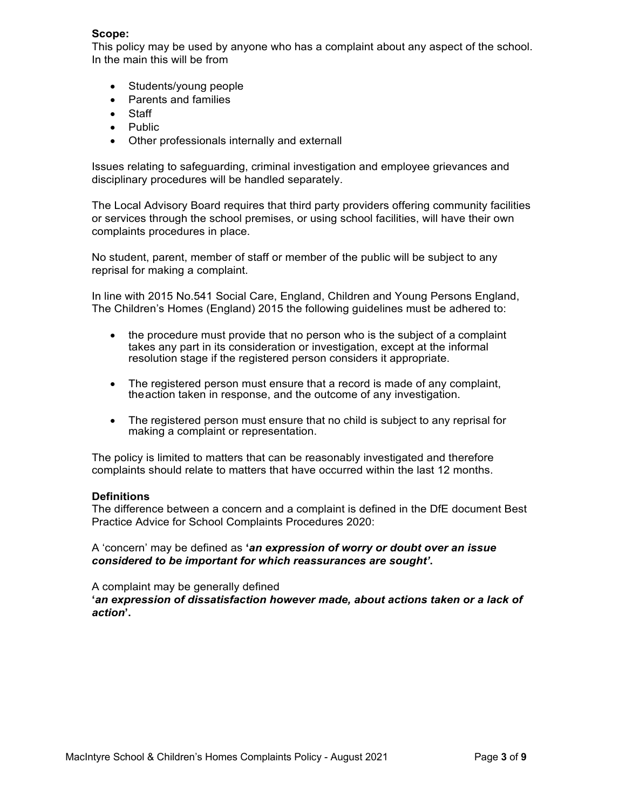#### **Scope:**

This policy may be used by anyone who has a complaint about any aspect of the school. In the main this will be from

- Students/young people
- Parents and families
- Staff
- Public
- Other professionals internally and externall

Issues relating to safeguarding, criminal investigation and employee grievances and disciplinary procedures will be handled separately.

The Local Advisory Board requires that third party providers offering community facilities or services through the school premises, or using school facilities, will have their own complaints procedures in place.

No student, parent, member of staff or member of the public will be subject to any reprisal for making a complaint.

In line with 2015 No.541 Social Care, England, Children and Young Persons England, The Children's Homes (England) 2015 the following guidelines must be adhered to:

- the procedure must provide that no person who is the subject of a complaint takes any part in its consideration or investigation, except at the informal resolution stage if the registered person considers it appropriate.
- The registered person must ensure that a record is made of any complaint, theaction taken in response, and the outcome of any investigation.
- The registered person must ensure that no child is subject to any reprisal for making a complaint or representation.

The policy is limited to matters that can be reasonably investigated and therefore complaints should relate to matters that have occurred within the last 12 months.

#### **Definitions**

The difference between a concern and a complaint is defined in the DfE document Best Practice Advice for School Complaints Procedures 2020:

A 'concern' may be defined as **'***an expression of worry or doubt over an issue considered to be important for which reassurances are sought'***.**

A complaint may be generally defined

**'***an expression of dissatisfaction however made, about actions taken or a lack of action***'.**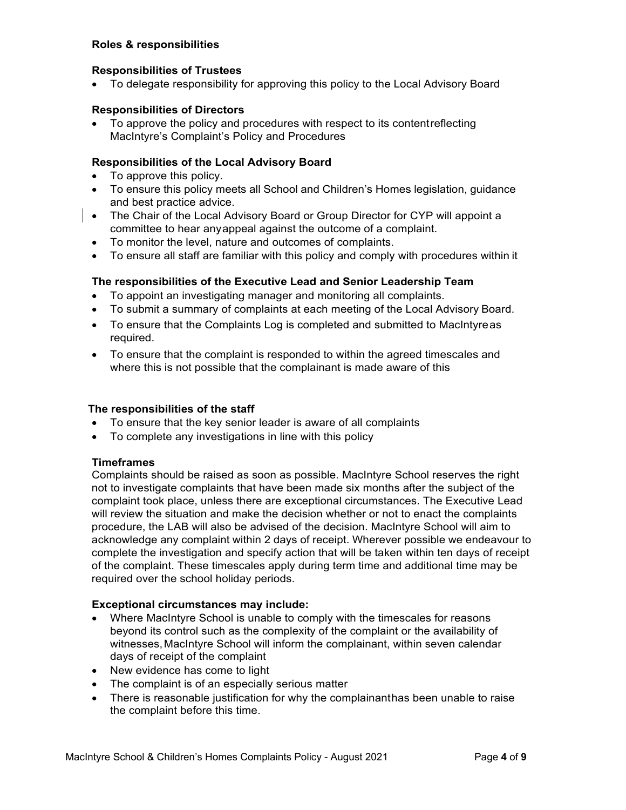#### **Roles & responsibilities**

#### **Responsibilities of Trustees**

• To delegate responsibility for approving this policy to the Local Advisory Board

#### **Responsibilities of Directors**

• To approve the policy and procedures with respect to its contentreflecting MacIntyre's Complaint's Policy and Procedures

#### **Responsibilities of the Local Advisory Board**

- To approve this policy.
- To ensure this policy meets all School and Children's Homes legislation, guidance and best practice advice.
- The Chair of the Local Advisory Board or Group Director for CYP will appoint a committee to hear anyappeal against the outcome of a complaint.
	- To monitor the level, nature and outcomes of complaints.
	- To ensure all staff are familiar with this policy and comply with procedures within it

# **The responsibilities of the Executive Lead and Senior Leadership Team**

- To appoint an investigating manager and monitoring all complaints.
- To submit a summary of complaints at each meeting of the Local Advisory Board.
- To ensure that the Complaints Log is completed and submitted to MacIntyreas required.
- To ensure that the complaint is responded to within the agreed timescales and where this is not possible that the complainant is made aware of this

#### **The responsibilities of the staff**

- To ensure that the key senior leader is aware of all complaints
- To complete any investigations in line with this policy

#### **Timeframes**

Complaints should be raised as soon as possible. MacIntyre School reserves the right not to investigate complaints that have been made six months after the subject of the complaint took place, unless there are exceptional circumstances. The Executive Lead will review the situation and make the decision whether or not to enact the complaints procedure, the LAB will also be advised of the decision. MacIntyre School will aim to acknowledge any complaint within 2 days of receipt. Wherever possible we endeavour to complete the investigation and specify action that will be taken within ten days of receipt of the complaint. These timescales apply during term time and additional time may be required over the school holiday periods.

#### **Exceptional circumstances may include:**

- Where MacIntyre School is unable to comply with the timescales for reasons beyond its control such as the complexity of the complaint or the availability of witnesses,MacIntyre School will inform the complainant, within seven calendar days of receipt of the complaint
- New evidence has come to light
- The complaint is of an especially serious matter
- There is reasonable justification for why the complainanthas been unable to raise the complaint before this time.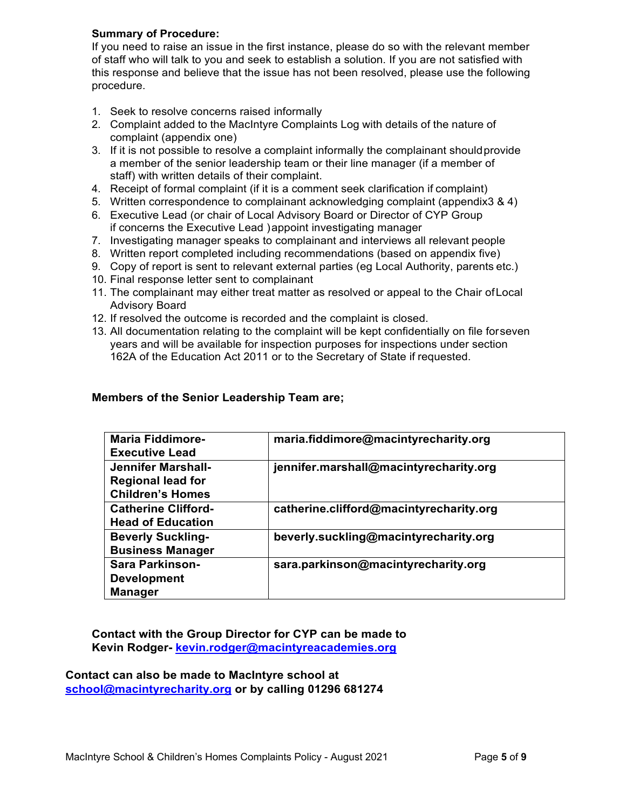# **Summary of Procedure:**

If you need to raise an issue in the first instance, please do so with the relevant member of staff who will talk to you and seek to establish a solution. If you are not satisfied with this response and believe that the issue has not been resolved, please use the following procedure.

- 1. Seek to resolve concerns raised informally
- 2. Complaint added to the MacIntyre Complaints Log with details of the nature of complaint (appendix one)
- 3. If it is not possible to resolve a complaint informally the complainant shouldprovide a member of the senior leadership team or their line manager (if a member of staff) with written details of their complaint.
- 4. Receipt of formal complaint (if it is a comment seek clarification if complaint)
- 5. Written correspondence to complainant acknowledging complaint (appendix3 & 4)
- 6. Executive Lead (or chair of Local Advisory Board or Director of CYP Group if concerns the Executive Lead )appoint investigating manager
- 7. Investigating manager speaks to complainant and interviews all relevant people
- 8. Written report completed including recommendations (based on appendix five)
- 9. Copy of report is sent to relevant external parties (eg Local Authority, parents etc.)
- 10. Final response letter sent to complainant
- 11. The complainant may either treat matter as resolved or appeal to the Chair ofLocal Advisory Board
- 12. If resolved the outcome is recorded and the complaint is closed.
- 13. All documentation relating to the complaint will be kept confidentially on file forseven years and will be available for inspection purposes for inspections under section 162A of the Education Act 2011 or to the Secretary of State if requested.

#### **Members of the Senior Leadership Team are;**

| <b>Maria Fiddimore-</b>    | maria.fiddimore@macintyrecharity.org    |
|----------------------------|-----------------------------------------|
| <b>Executive Lead</b>      |                                         |
| Jennifer Marshall-         | jennifer.marshall@macintyrecharity.org  |
| <b>Regional lead for</b>   |                                         |
| <b>Children's Homes</b>    |                                         |
| <b>Catherine Clifford-</b> | catherine.clifford@macintyrecharity.org |
| <b>Head of Education</b>   |                                         |
| <b>Beverly Suckling-</b>   | beverly.suckling@macintyrecharity.org   |
| <b>Business Manager</b>    |                                         |
| <b>Sara Parkinson-</b>     | sara.parkinson@macintyrecharity.org     |
| <b>Development</b>         |                                         |
| <b>Manager</b>             |                                         |
|                            |                                         |

**Contact with the Group Director for CYP can be made to Kevin Rodger- [kevin.rodger@macintyreacademies.org](mailto:kevin.rodger@macintyreacademies.org)**

**Contact can also be made to MacIntyre school at [school@macintyrecharity.org](mailto:school@macintyrecharity.org) or by calling 01296 681274**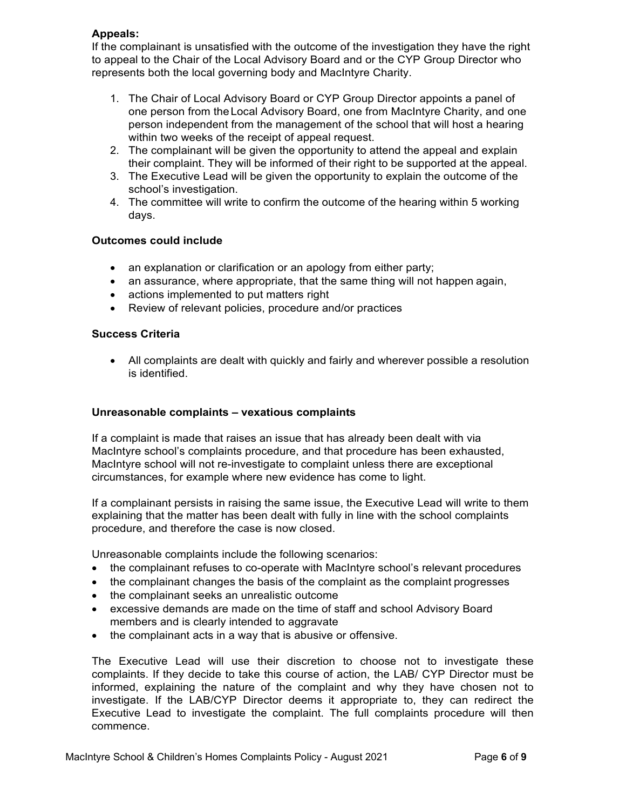# **Appeals:**

If the complainant is unsatisfied with the outcome of the investigation they have the right to appeal to the Chair of the Local Advisory Board and or the CYP Group Director who represents both the local governing body and MacIntyre Charity.

- 1. The Chair of Local Advisory Board or CYP Group Director appoints a panel of one person from theLocal Advisory Board, one from MacIntyre Charity, and one person independent from the management of the school that will host a hearing within two weeks of the receipt of appeal request.
- 2. The complainant will be given the opportunity to attend the appeal and explain their complaint. They will be informed of their right to be supported at the appeal.
- 3. The Executive Lead will be given the opportunity to explain the outcome of the school's investigation.
- 4. The committee will write to confirm the outcome of the hearing within 5 working days.

#### **Outcomes could include**

- an explanation or clarification or an apology from either party;
- an assurance, where appropriate, that the same thing will not happen again,
- actions implemented to put matters right
- Review of relevant policies, procedure and/or practices

#### **Success Criteria**

• All complaints are dealt with quickly and fairly and wherever possible a resolution is identified.

#### **Unreasonable complaints – vexatious complaints**

If a complaint is made that raises an issue that has already been dealt with via MacIntyre school's complaints procedure, and that procedure has been exhausted, MacIntyre school will not re-investigate to complaint unless there are exceptional circumstances, for example where new evidence has come to light.

If a complainant persists in raising the same issue, the Executive Lead will write to them explaining that the matter has been dealt with fully in line with the school complaints procedure, and therefore the case is now closed.

Unreasonable complaints include the following scenarios:

- the complainant refuses to co-operate with MacIntyre school's relevant procedures
- the complainant changes the basis of the complaint as the complaint progresses
- the complainant seeks an unrealistic outcome
- excessive demands are made on the time of staff and school Advisory Board members and is clearly intended to aggravate
- the complainant acts in a way that is abusive or offensive.

The Executive Lead will use their discretion to choose not to investigate these complaints. If they decide to take this course of action, the LAB/ CYP Director must be informed, explaining the nature of the complaint and why they have chosen not to investigate. If the LAB/CYP Director deems it appropriate to, they can redirect the Executive Lead to investigate the complaint. The full complaints procedure will then commence.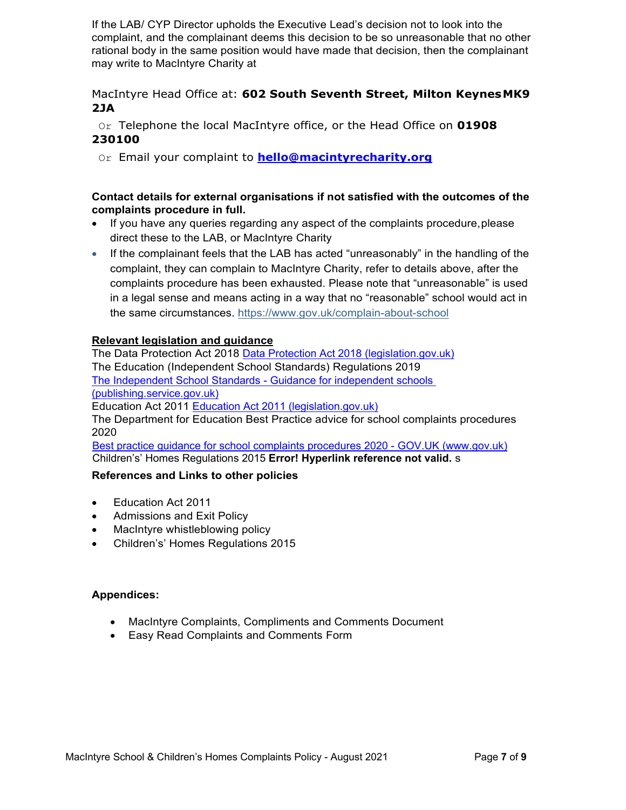If the LAB/ CYP Director upholds the Executive Lead's decision not to look into the complaint, and the complainant deems this decision to be so unreasonable that no other rational body in the same position would have made that decision, then the complainant may write to MacIntyre Charity at

# MacIntyre Head Office at: **602 South Seventh Street, Milton KeynesMK9 2JA**

Or Telephone the local MacIntyre office, or the Head Office on **01908 230100**

Or Email your complaint to **[hello@macintyrecharity.org](mailto:hello@macintyrecharity.org)**

# **Contact details for external organisations if not satisfied with the outcomes of the complaints procedure in full.**

- If you have any queries regarding any aspect of the complaints procedure,please direct these to the LAB, or MacIntyre Charity
- If the complainant feels that the LAB has acted "unreasonably" in the handling of the complaint, they can complain to MacIntyre Charity, refer to details above, after the complaints procedure has been exhausted. Please note that "unreasonable" is used in a legal sense and means acting in a way that no "reasonable" school would act in the same circumstances. https:/[/www.gov.uk/complain-about-school](http://www.gov.uk/complain-about-school)

# **Relevant legislation and guidance**

The Data Protection Act 2018 [Data Protection Act 2018 \(legislation.gov.uk\)](https://www.legislation.gov.uk/ukpga/2018/12/contents/enacted) The Education (Independent School Standards) Regulations 2019 [The Independent School Standards -](https://assets.publishing.service.gov.uk/government/uploads/system/uploads/attachment_data/file/800615/Independent_School_Standards-_Guidance_070519.pdf) Guidance for independent schools [\(publishing.service.gov.uk\)](https://assets.publishing.service.gov.uk/government/uploads/system/uploads/attachment_data/file/800615/Independent_School_Standards-_Guidance_070519.pdf) Education Act 2011 [Education Act 2011 \(legislation.gov.uk\)](https://www.legislation.gov.uk/ukpga/2011/21/contents/enacted) The Department for Education Best Practice advice for school complaints procedures 2020 [Best practice guidance for school complaints procedures 2020 -](https://www.gov.uk/government/publications/school-complaints-procedures/best-practice-advice-for-school-complaints-procedures-2019) GOV.UK (www.gov.uk) Children's' Homes Regulations 2015 **Error! Hyperlink reference not valid.** s

# **References and Links to other policies**

- Education Act 2011
- Admissions and Exit Policy
- MacIntyre whistleblowing policy
- Children's' Homes Regulations 2015

# **Appendices:**

- MacIntyre Complaints, Compliments and Comments Document
- Easy Read Complaints and Comments Form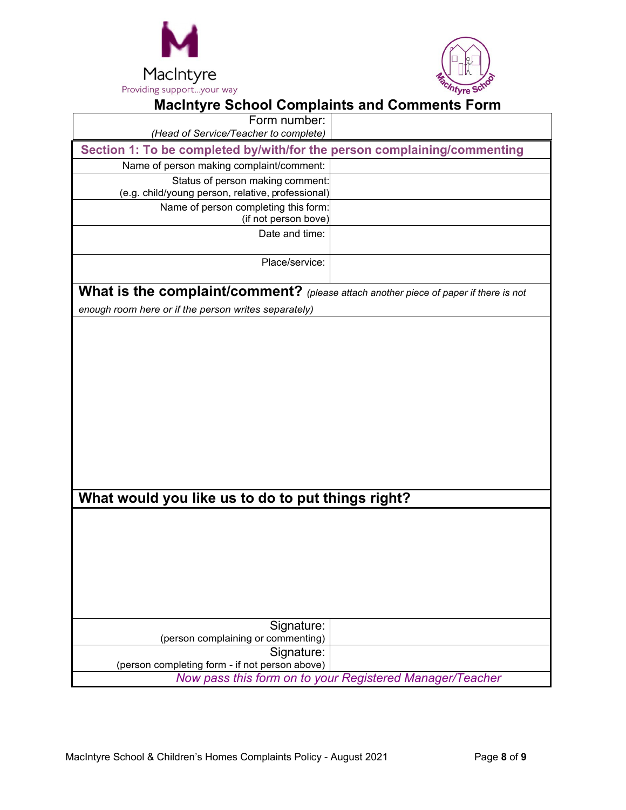



| <b>Macintyre School Complaints and Comments Form</b>                                        |  |  |  |  |
|---------------------------------------------------------------------------------------------|--|--|--|--|
| Form number:                                                                                |  |  |  |  |
| (Head of Service/Teacher to complete)                                                       |  |  |  |  |
| Section 1: To be completed by/with/for the person complaining/commenting                    |  |  |  |  |
| Name of person making complaint/comment:                                                    |  |  |  |  |
| Status of person making comment:                                                            |  |  |  |  |
| (e.g. child/young person, relative, professional)                                           |  |  |  |  |
| Name of person completing this form:<br>(if not person bove)                                |  |  |  |  |
| Date and time:                                                                              |  |  |  |  |
| Place/service:                                                                              |  |  |  |  |
| <b>What is the complaint/comment?</b> (please attach another piece of paper if there is not |  |  |  |  |
| enough room here or if the person writes separately)                                        |  |  |  |  |
| What would you like us to do to put things right?                                           |  |  |  |  |
|                                                                                             |  |  |  |  |
|                                                                                             |  |  |  |  |
|                                                                                             |  |  |  |  |
|                                                                                             |  |  |  |  |
|                                                                                             |  |  |  |  |
|                                                                                             |  |  |  |  |
|                                                                                             |  |  |  |  |
|                                                                                             |  |  |  |  |
| Signature:                                                                                  |  |  |  |  |
| (person complaining or commenting)                                                          |  |  |  |  |
| Signature:                                                                                  |  |  |  |  |
| (person completing form - if not person above)                                              |  |  |  |  |
| Now pass this form on to your Registered Manager/Teacher                                    |  |  |  |  |